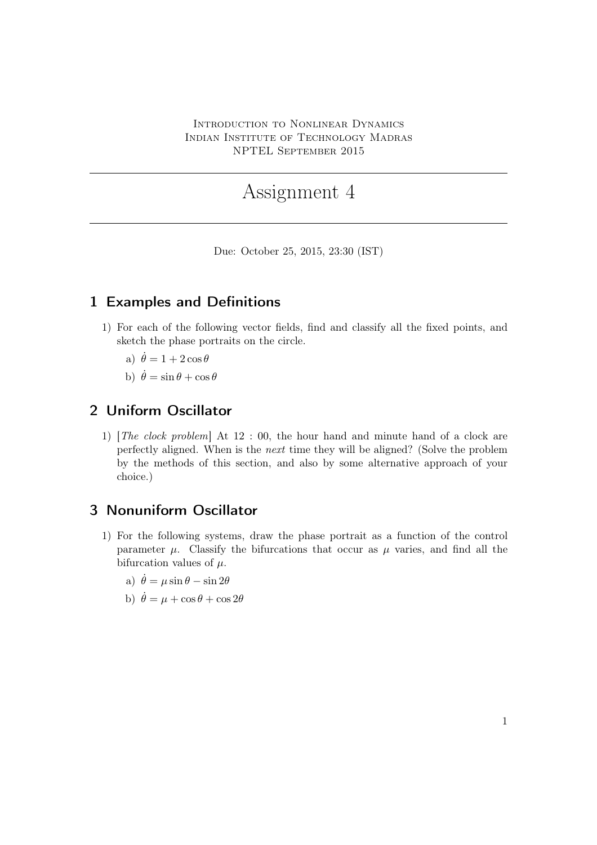# Assignment 4

Due: October 25, 2015, 23:30 (IST)

#### 1 Examples and Definitions

- 1) For each of the following vector fields, find and classify all the fixed points, and sketch the phase portraits on the circle.
	- a)  $\dot{\theta} = 1 + 2 \cos \theta$
	- b)  $\dot{\theta} = \sin \theta + \cos \theta$

#### 2 Uniform Oscillator

1) [The clock problem] At 12 : 00, the hour hand and minute hand of a clock are perfectly aligned. When is the next time they will be aligned? (Solve the problem by the methods of this section, and also by some alternative approach of your choice.)

### 3 Nonuniform Oscillator

- 1) For the following systems, draw the phase portrait as a function of the control parameter  $\mu$ . Classify the bifurcations that occur as  $\mu$  varies, and find all the bifurcation values of  $\mu$ .
	- a)  $\dot{\theta} = \mu \sin \theta \sin 2\theta$
	- b)  $\dot{\theta} = \mu + \cos \theta + \cos 2\theta$